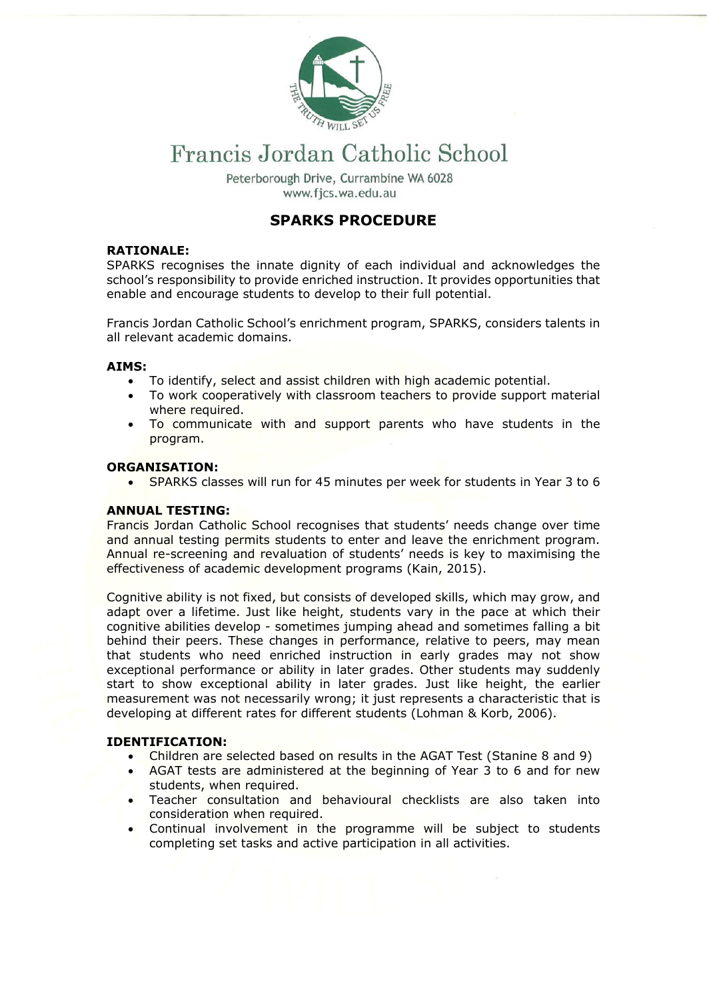

# Francis Jordan Catholic School

Peterborough Drive, Currambine WA 6028 www.fics.wa.edu.au

# **SPARKS PROCEDURE**

# **RATIONALE:**

SPARKS recognises the innate dignity of each individual and acknowledges the school's responsibility to provide enriched instruction. It provides opportunities that enable and encourage students to develop to their full potential.

Francis Jordan Catholic School's enrichment program, SPARKS, considers talents in all relevant academic domains.

# **AIMS:**

- To identify, select and assist children with high academic potential.
- To work cooperatively with classroom teachers to provide support material where required.
- To communicate with and support parents who have students in the program.

# **ORGANISATION:**

• SPARKS classes will run for 45 minutes per week for students in Year 3 to 6

# **ANNUAL TESTING:**

Francis Jordan Catholic School recognises that students' needs change over time and annual testing permits students to enter and leave the enrichment program. Annual re-screening and revaluation of students' needs is key to maximising the effectiveness of academic development programs (Kain, 2015).

Cognitive ability is not fixed, but consists of developed skills, which may grow, and adapt over a lifetime. Just like height, students vary in the pace at which their cognitive abilities develop - sometimes jumping ahead and sometimes falling a bit behind their peers. These changes in performance, relative to peers, may mean that students who need enriched instruction in early grades may not show exceptional performance or ability in later grades. Other students may suddenly start to show exceptional ability in later grades. Just like height, the earlier measurement was not necessarily wrong; it just represents a characteristic that is developing at different rates for different students (Lohman & Korb, 2006).

## **IDENTIFICATION:**

- Children are selected based on results in the AGAT Test (Stanine 8 and 9)
- AGAT tests are administered at the beginning of Year 3 to 6 and for new students, when required.
- Teacher consultation and behavioural checklists are also taken into consideration when required.
- Continual involvement in the programme will be subject to students completing set tasks and active participation in all activities.